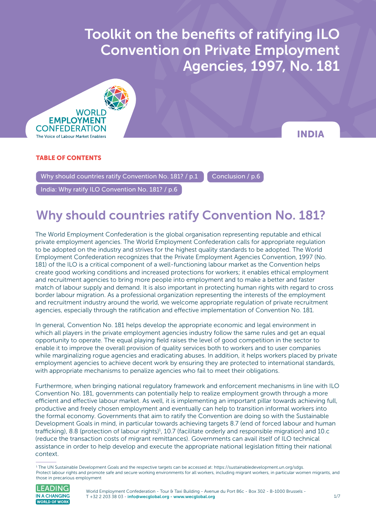$\sigma$  and benefits of ratification  $\sigma$  ratification on  $\sigma$ **Convention on Private Employment** Toolkit on the benefits of ratifying ILO Agencies, 1997, No. 181



INDIA

### TABLE OF CONTENTS

Why should countries ratify Convention No. 181? / p.1  $\blacksquare$  [Conclusion / p.6](#page-5-0)

[India: Why ratify ILO Convention No. 181? / p.6](#page-5-0)

## Why should countries ratify Convention No. 181?

The World Employment Confederation is the global organisation representing reputable and ethical private employment agencies. The World Employment Confederation calls for appropriate regulation to be adopted on the industry and strives for the highest quality standards to be adopted. The World Employment Confederation recognizes that the Private Employment Agencies Convention, 1997 (No. 181) of the ILO is a critical component of a well-functioning labour market as the Convention helps create good working conditions and increased protections for workers; it enables ethical employment and recruitment agencies to bring more people into employment and to make a better and faster match of labour supply and demand. It is also important in protecting human rights with regard to cross border labour migration. As a professional organization representing the interests of the employment and recruitment industry around the world, we welcome appropriate regulation of private recruitment agencies, especially through the ratification and effective implementation of Convention No. 181.

In general, Convention No. 181 helps develop the appropriate economic and legal environment in which all players in the private employment agencies industry follow the same rules and get an equal opportunity to operate. The equal playing field raises the level of good competition in the sector to enable it to improve the overall provision of quality services both to workers and to user companies while marginalizing rogue agencies and eradicating abuses. In addition, it helps workers placed by private employment agencies to achieve decent work by ensuring they are protected to international standards, with appropriate mechanisms to penalize agencies who fail to meet their obligations.

Furthermore, when bringing national regulatory framework and enforcement mechanisms in line with ILO Convention No. 181, governments can potentially help to realize employment growth through a more efficient and effective labour market. As well, it is implementing an important pillar towards achieving full, productive and freely chosen employment and eventually can help to transition informal workers into the formal economy. Governments that aim to ratify the Convention are doing so with the Sustainable Development Goals in mind, in particular towards achieving targets 8.7 (end of forced labour and human trafficking), 8.8 (protection of labour rights)<sup>1</sup>, 10.7 (facilitate orderly and responsible migration) and 10.c (reduce the transaction costs of migrant remittances). Governments can avail itself of ILO technical assistance in order to help develop and execute the appropriate national legislation fitting their national context.

<sup>1</sup> The UN Sustainable Development Goals and the respective targets can be accessed at: <https://sustainabledevelopment.un.org/sdgs>. Protect labour rights and promote safe and secure working environments for all workers, including migrant workers, in particular women migrants, and those in precarious employment



World Employment Confederation - Tour & Taxi Building - Avenue du Port 86c - Box 302 - B-1000 Brussels -T +32 2 203 38 03 [- info@wecglobal.org](mailto:info%40wecglobal.org?subject=) - [www.wecglobal.org](http://www.wecglobal.org)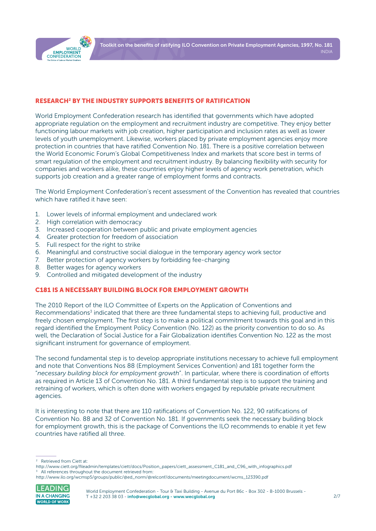

#### RESEARCH2 BY THE INDUSTRY SUPPORTS BENEFITS OF RATIFICATION

World Employment Confederation research has identified that governments which have adopted appropriate regulation on the employment and recruitment industry are competitive. They enjoy better functioning labour markets with job creation, higher participation and inclusion rates as well as lower levels of youth unemployment. Likewise, workers placed by private employment agencies enjoy more protection in countries that have ratified Convention No. 181. There is a positive correlation between the World Economic Forum's Global Competitiveness Index and markets that score best in terms of smart regulation of the employment and recruitment industry. By balancing flexibility with security for companies and workers alike, these countries enjoy higher levels of agency work penetration, which supports job creation and a greater range of employment forms and contracts.

The World Employment Confederation's recent assessment of the Convention has revealed that countries which have ratified it have seen:

- 1. Lower levels of informal employment and undeclared work
- 2. High correlation with democracy
- 3. Increased cooperation between public and private employment agencies
- 4. Greater protection for freedom of association
- 5. Full respect for the right to strike
- 6. Meaningful and constructive social dialogue in the temporary agency work sector
- 7. Better protection of agency workers by forbidding fee-charging
- 8. Better wages for agency workers
- 9. Controlled and mitigated development of the industry

#### C181 IS A NECESSARY BUILDING BLOCK FOR EMPLOYMENT GROWTH

The 2010 Report of the ILO Committee of Experts on the Application of Conventions and Recommendations<sup>3</sup> indicated that there are three fundamental steps to achieving full, productive and freely chosen employment. The first step is to make a political commitment towards this goal and in this regard identified the Employment Policy Convention (No. 122) as the priority convention to do so. As well, the Declaration of Social Justice for a Fair Globalization identifies Convention No. 122 as the most significant instrument for governance of employment.

The second fundamental step is to develop appropriate institutions necessary to achieve full employment and note that Conventions Nos 88 (Employment Services Convention) and 181 together form the "*necessary building block for employment growth*". In particular, where there is coordination of efforts as required in Article 13 of Convention No. 181. A third fundamental step is to support the training and retraining of workers, which is often done with workers engaged by reputable private recruitment agencies.

It is interesting to note that there are 110 ratifications of Convention No. 122, 90 ratifications of Convention No. 88 and 32 of Convention No. 181. If governments seek the necessary building block for employment growth, this is the package of Conventions the ILO recommends to enable it yet few countries have ratified all three.

[http://www.ilo.org/wcmsp5/groups/public/@ed\\_norm/@relconf/documents/meetingdocument/wcms\\_123390.pdf](http://www.ilo.org/wcmsp5/groups/public/@ed_norm/@relconf/documents/meetingdocument/wcms_123390.pdf)



<sup>2</sup> Retrieved from Ciett at:

[http://www.ciett.org/fileadmin/templates/ciett/docs/Position\\_papers/ciett\\_assessment\\_C181\\_and\\_C96\\_with\\_infographics.pdf](http://www.ciett.org/fileadmin/templates/ciett/docs/Position_papers/ciett_assessment_C181_and_C96_with_infographics.pdf) All references throughout the document retrieved from: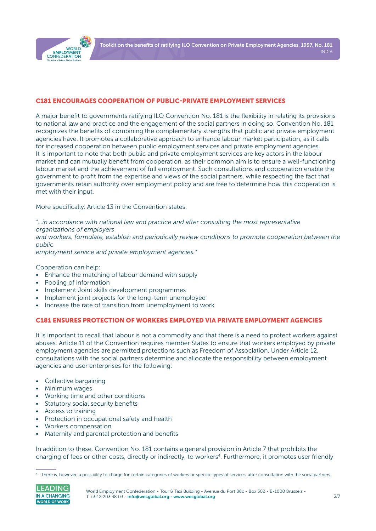

#### C181 ENCOURAGES COOPERATION OF PUBLIC-PRIVATE EMPLOYMENT SERVICES

A major benefit to governments ratifying ILO Convention No. 181 is the flexibility in relating its provisions to national law and practice and the engagement of the social partners in doing so. Convention No. 181 recognizes the benefits of combining the complementary strengths that public and private employment agencies have. It promotes a collaborative approach to enhance labour market participation, as it calls for increased cooperation between public employment services and private employment agencies. It is important to note that both public and private employment services are key actors in the labour market and can mutually benefit from cooperation, as their common aim is to ensure a well-functioning labour market and the achievement of full employment. Such consultations and cooperation enable the government to profit from the expertise and views of the social partners, while respecting the fact that governments retain authority over employment policy and are free to determine how this cooperation is met with their input.

More specifically, Article 13 in the Convention states:

*"…in accordance with national law and practice and after consulting the most representative organizations of employers*

*and workers, formulate, establish and periodically review conditions to promote cooperation between the public*

*employment service and private employment agencies."*

Cooperation can help:

- Enhance the matching of labour demand with supply
- Pooling of information
- Implement Joint skills development programmes
- Implement joint projects for the long-term unemployed
- Increase the rate of transition from unemployment to work

#### C181 ENSURES PROTECTION OF WORKERS EMPLOYED VIA PRIVATE EMPLOYMENT AGENCIES

It is important to recall that labour is not a commodity and that there is a need to protect workers against abuses. Article 11 of the Convention requires member States to ensure that workers employed by private employment agencies are permitted protections such as Freedom of Association. Under Article 12, consultations with the social partners determine and allocate the responsibility between employment agencies and user enterprises for the following:

- Collective bargaining
- Minimum wages
- Working time and other conditions
- Statutory social security benefits
- Access to training
- Protection in occupational safety and health
- Workers compensation
- Maternity and parental protection and benefits

In addition to these, Convention No. 181 contains a general provision in Article 7 that prohibits the charging of fees or other costs, directly or indirectly, to workers<sup>4</sup>. Furthermore, it promotes user friendly

<sup>4</sup> There is, however, a possibility to charge for certain categories of workers or specific types of services, after consultation with the socialpartners.

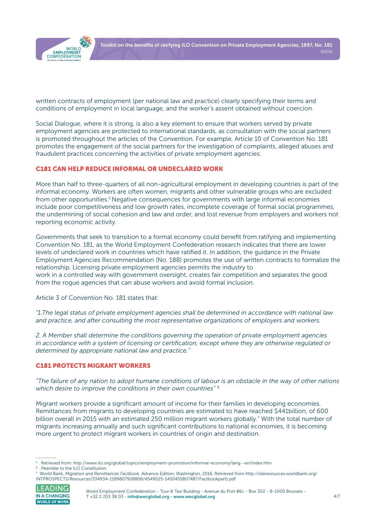

written contracts of employment (per national law and practice) clearly specifying their terms and conditions of employment in local language, and the worker's assent obtained without coercion.

Social Dialogue, where it is strong, is also a key element to ensure that workers served by private employment agencies are protected to international standards, as consultation with the social partners is promoted throughout the articles of the Convention. For example, Article 10 of Convention No. 181 promotes the engagement of the social partners for the investigation of complaints, alleged abuses and fraudulent practices concerning the activities of private employment agencies.

#### C181 CAN HELP REDUCE INFORMAL OR UNDECLARED WORK

More than half to three-quarters of all non-agricultural employment in developing countries is part of the informal economy. Workers are often women, migrants and other vulnerable groups who are excluded from other opportunities.<sup>5</sup> Negative consequences for governments with large informal economies include poor competitiveness and low growth rates, incomplete coverage of formal social programmes, the undermining of social cohesion and law and order, and lost revenue from employers and workers not reporting economic activity.

Governments that seek to transition to a formal economy could benefit from ratifying and implementing Convention No. 181, as the World Employment Confederation research indicates that there are lower levels of undeclared work in countries which have ratified it. In addition, the guidance in the Private Employment Agencies Recommendation (No. 188) promotes the use of written contracts to formalize the relationship. Licensing private employment agencies permits the industry to work in a controlled way with government oversight, creates fair competition and separates the good from the rogue agencies that can abuse workers and avoid formal inclusion.

Article 3 of Convention No. 181 states that:

*"1.The legal status of private employment agencies shall be determined in accordance with national law and practice, and after consulting the most representative organizations of employers and workers.*

*2. A Member shall determine the conditions governing the operation of private employment agencies in accordance with a system of licensing or certification, except where they are otherwise regulated or determined by appropriate national law and practice."*

#### C181 PROTECTS MIGRANT WORKERS

*"The failure of any nation to adopt humane conditions of labour is an obstacle in the way of other nations which desire to improve the conditions in their own countries"* <sup>6</sup>

Migrant workers provide a significant amount of income for their families in developing economies. Remittances from migrants to developing countries are estimated to have reached \$441billion, of 600 billion overall in 2015 with an estimated 250 million migrant workers globally.<sup>7</sup> With the total number of migrants increasing annually and such significant contributions to national economies, it is becoming more urgent to protect migrant workers in countries of origin and destination.

<sup>7</sup> World Bank, *Migration and Remittances Factbook, Advance Edition*, Washington, 2016. Retrieved from [http://siteresources.worldbank.org/](http://siteresources.worldbank.org/INTPROSPECTS/Resources/334934-1199807908806/4549025-1450455807487) [INTPROSPECTS/Resources/334934-1199807908806/4549025-1450455807487/Factbookpart1.pdf](http://siteresources.worldbank.org/INTPROSPECTS/Resources/334934-1199807908806/4549025-1450455807487) 



World Employment Confederation - Tour & Taxi Building - Avenue du Port 86c - Box 302 - B-1000 Brussels -T +32 2 203 38 03 [- info@wecglobal.org](mailto:info%40wecglobal.org?subject=) - [www.wecglobal.org](http://www.wecglobal.org)

<sup>5</sup> Retrieved from:<http://www.ilo.org/global/topics/employment-promotion/informal-economy/lang--en/index.htm>

<sup>6</sup> Peamble to the ILO Constitution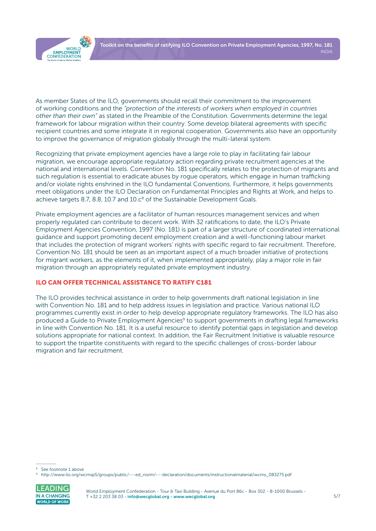

As member States of the ILO, governments should recall their commitment to the improvement of working conditions and the *"protection of the interests of workers when employed in countries other than their own"* as stated in the Preamble of the Constitution. Governments determine the legal framework for labour migration within their country. Some develop bilateral agreements with specific recipient countries and some integrate it in regional cooperation. Governments also have an opportunity to improve the governance of migration globally through the multi-lateral system.

Recognizing that private employment agencies have a large role to play in facilitating fair labour migration, we encourage appropriate regulatory action regarding private recruitment agencies at the national and international levels. Convention No. 181 specifically relates to the protection of migrants and such regulation is essential to eradicate abuses by rogue operators, which engage in human trafficking and/or violate rights enshrined in the ILO fundamental Conventions. Furthermore, it helps governments meet obligations under the ILO Declaration on Fundamental Principles and Rights at Work, and helps to achieve targets 8.7, 8.8, 10.7 and  $10.c<sup>8</sup>$  of the Sustainable Development Goals.

Private employment agencies are a facilitator of human resources management services and when properly regulated can contribute to decent work. With 32 ratifications to date, the ILO's Private Employment Agencies Convention, 1997 (No. 181) is part of a larger structure of coordinated international guidance and support promoting decent employment creation and a well-functioning labour market that includes the protection of migrant workers' rights with specific regard to fair recruitment. Therefore, Convention No. 181 should be seen as an important aspect of a much broader initiative of protections for migrant workers, as the elements of it, when implemented appropriately, play a major role in fair migration through an appropriately regulated private employment industry.

### ILO CAN OFFER TECHNICAL ASSISTANCE TO RATIFY C181

The ILO provides technical assistance in order to help governments draft national legislation in line with Convention No. 181 and to help address issues in legislation and practice. Various national ILO programmes currently exist in order to help develop appropriate regulatory frameworks. The ILO has also produced a Guide to Private Employment Agencies<sup>9</sup> to support governments in drafting legal frameworks in line with Convention No. 181. It is a useful resource to identify potential gaps in legislation and develop solutions appropriate for national context. In addition, the Fair Recruitment Initiative is valuable resource to support the tripartite constituents with regard to the specific challenges of cross-border labour migration and fair recruitment.

<sup>9</sup> [http://www.ilo.org/wcmsp5/groups/public/---ed\\_norm/---declaration/documents/instructionalmaterial/wcms\\_083275.pdf](http://www.ilo.org/wcmsp5/groups/public/---ed_norm/---declaration/documents/instructionalmaterial/wcms_083275.pdf)



See footnote 1 above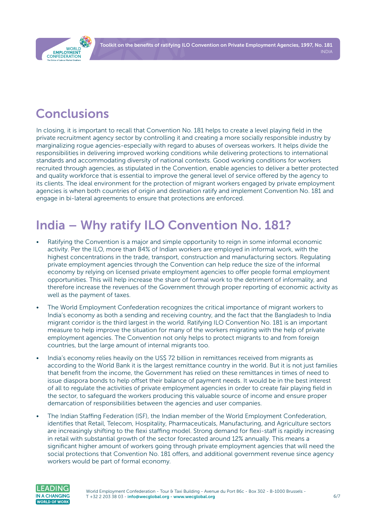Toolkit on the benefits of ratifying ILO Convention on Private Employment Agencies, 1997, No. 181 INDIA

<span id="page-5-0"></span>

## Conclusions

In closing, it is important to recall that Convention No. 181 helps to create a level playing field in the private recruitment agency sector by controlling it and creating a more socially responsible industry by marginalizing rogue agencies-especially with regard to abuses of overseas workers. It helps divide the responsibilities in delivering improved working conditions while delivering protections to international standards and accommodating diversity of national contexts. Good working conditions for workers recruited through agencies, as stipulated in the Convention, enable agencies to deliver a better protected and quality workforce that is essential to improve the general level of service offered by the agency to its clients. The ideal environment for the protection of migrant workers engaged by private employment agencies is when both countries of origin and destination ratify and implement Convention No. 181 and engage in bi-lateral agreements to ensure that protections are enforced.

# India – Why ratify ILO Convention No. 181?

- Ratifying the Convention is a major and simple opportunity to reign in some informal economic activity. Per the ILO, more than 84% of Indian workers are employed in informal work, with the highest concentrations in the trade, transport, construction and manufacturing sectors. Regulating private employment agencies through the Convention can help reduce the size of the informal economy by relying on licensed private employment agencies to offer people formal employment opportunities. This will help increase the share of formal work to the detriment of informality, and therefore increase the revenues of the Government through proper reporting of economic activity as well as the payment of taxes.
- The World Employment Confederation recognizes the critical importance of migrant workers to India's economy as both a sending and receiving country, and the fact that the Bangladesh to India migrant corridor is the third largest in the world. Ratifying ILO Convention No. 181 is an important measure to help improve the situation for many of the workers migrating with the help of private employment agencies. The Convention not only helps to protect migrants to and from foreign countries, but the large amount of internal migrants too.
- India's economy relies heavily on the US\$ 72 billion in remittances received from migrants as according to the World Bank it is the largest remittance country in the world. But it is not just families that benefit from the income, the Government has relied on these remittances in times of need to issue diaspora bonds to help offset their balance of payment needs. It would be in the best interest of all to regulate the activities of private employment agencies in order to create fair playing field in the sector, to safeguard the workers producing this valuable source of income and ensure proper demarcation of responsibilities between the agencies and user companies.
- The Indian Staffing Federation (ISF), the Indian member of the World Employment Confederation, identifies that Retail, Telecom, Hospitality, Pharmaceuticals, Manufacturing, and Agriculture sectors are increasingly shifting to the flexi staffing model. Strong demand for flexi-staff is rapidly increasing in retail with substantial growth of the sector forecasted around 12% annually. This means a significant higher amount of workers going through private employment agencies that will need the social protections that Convention No. 181 offers, and additional government revenue since agency workers would be part of formal economy.